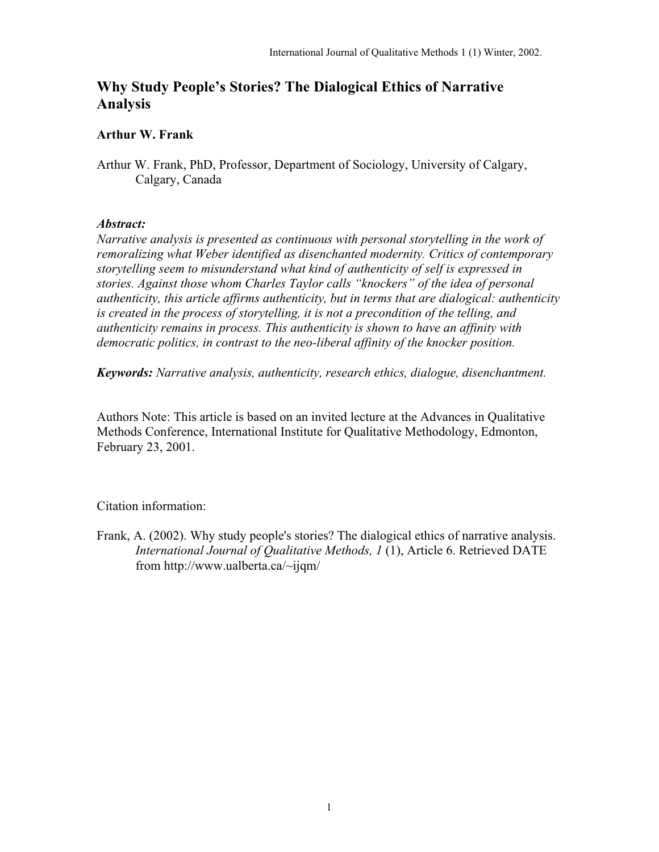# **Why Study People's Stories? The Dialogical Ethics of Narrative Analysis**

## **Arthur W. Frank**

Arthur W. Frank, PhD, Professor, Department of Sociology, University of Calgary, Calgary, Canada

### *Abstract:*

*Narrative analysis is presented as continuous with personal storytelling in the work of remoralizing what Weber identified as disenchanted modernity. Critics of contemporary storytelling seem to misunderstand what kind of authenticity of self is expressed in stories. Against those whom Charles Taylor calls "knockers" of the idea of personal authenticity, this article affirms authenticity, but in terms that are dialogical: authenticity is created in the process of storytelling, it is not a precondition of the telling, and authenticity remains in process. This authenticity is shown to have an affinity with democratic politics, in contrast to the neo-liberal affinity of the knocker position.*

*Keywords: Narrative analysis, authenticity, research ethics, dialogue, disenchantment.*

Authors Note: This article is based on an invited lecture at the Advances in Qualitative Methods Conference, International Institute for Qualitative Methodology, Edmonton, February 23, 2001.

Citation information:

Frank, A. (2002). Why study people's stories? The dialogical ethics of narrative analysis. *International Journal of Qualitative Methods, 1* (1), Article 6. Retrieved DATE from http://www.ualberta.ca/~ijqm/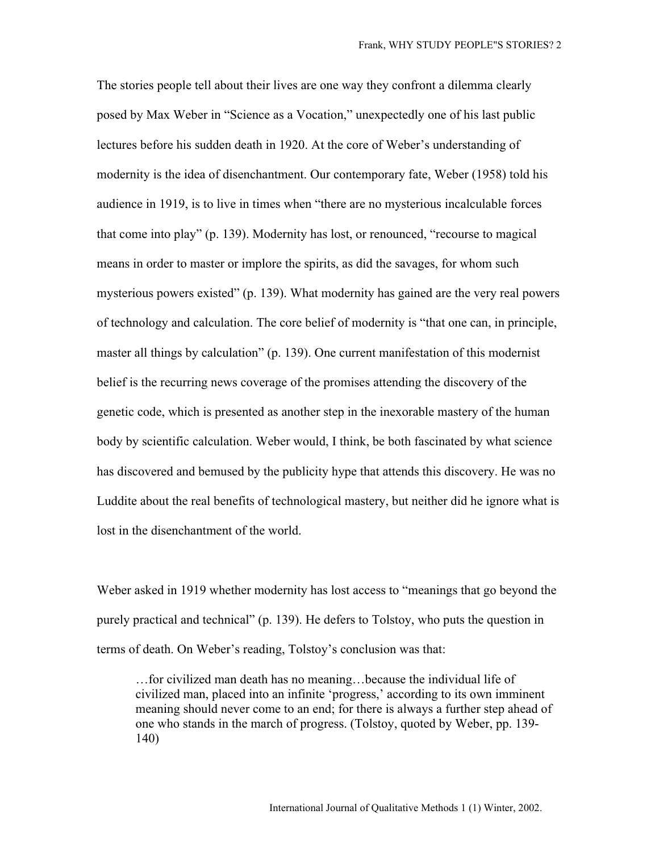The stories people tell about their lives are one way they confront a dilemma clearly posed by Max Weber in "Science as a Vocation," unexpectedly one of his last public lectures before his sudden death in 1920. At the core of Weber's understanding of modernity is the idea of disenchantment. Our contemporary fate, Weber (1958) told his audience in 1919, is to live in times when "there are no mysterious incalculable forces that come into play" (p. 139). Modernity has lost, or renounced, "recourse to magical means in order to master or implore the spirits, as did the savages, for whom such mysterious powers existed" (p. 139). What modernity has gained are the very real powers of technology and calculation. The core belief of modernity is "that one can, in principle, master all things by calculation" (p. 139). One current manifestation of this modernist belief is the recurring news coverage of the promises attending the discovery of the genetic code, which is presented as another step in the inexorable mastery of the human body by scientific calculation. Weber would, I think, be both fascinated by what science has discovered and bemused by the publicity hype that attends this discovery. He was no Luddite about the real benefits of technological mastery, but neither did he ignore what is lost in the disenchantment of the world.

Weber asked in 1919 whether modernity has lost access to "meanings that go beyond the purely practical and technical" (p. 139). He defers to Tolstoy, who puts the question in terms of death. On Weber's reading, Tolstoy's conclusion was that:

…for civilized man death has no meaning…because the individual life of civilized man, placed into an infinite 'progress,' according to its own imminent meaning should never come to an end; for there is always a further step ahead of one who stands in the march of progress. (Tolstoy, quoted by Weber, pp. 139- 140)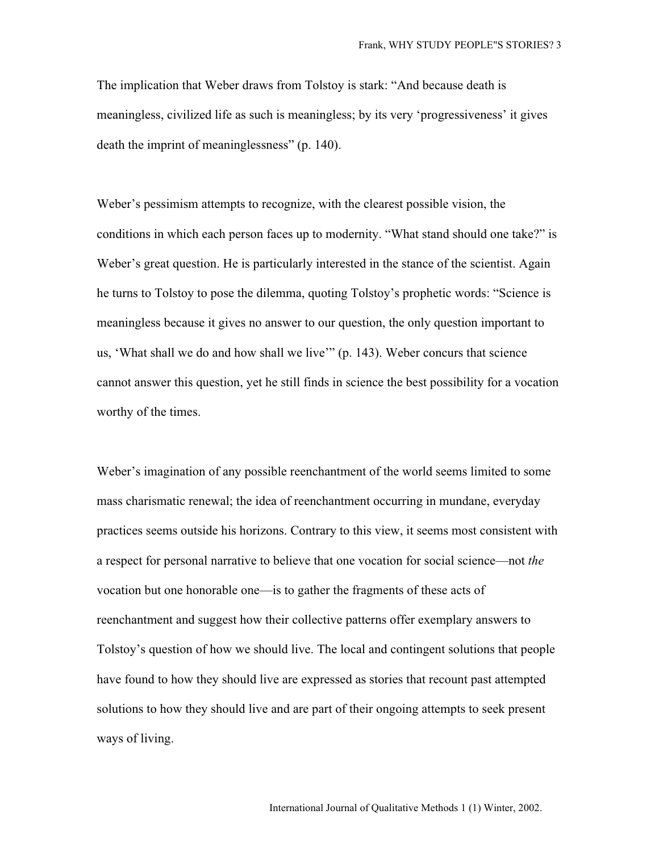The implication that Weber draws from Tolstoy is stark: "And because death is meaningless, civilized life as such is meaningless; by its very 'progressiveness' it gives death the imprint of meaninglessness" (p. 140).

Weber's pessimism attempts to recognize, with the clearest possible vision, the conditions in which each person faces up to modernity. "What stand should one take?" is Weber's great question. He is particularly interested in the stance of the scientist. Again he turns to Tolstoy to pose the dilemma, quoting Tolstoy's prophetic words: "Science is meaningless because it gives no answer to our question, the only question important to us, 'What shall we do and how shall we live'" (p. 143). Weber concurs that science cannot answer this question, yet he still finds in science the best possibility for a vocation worthy of the times.

Weber's imagination of any possible reenchantment of the world seems limited to some mass charismatic renewal; the idea of reenchantment occurring in mundane, everyday practices seems outside his horizons. Contrary to this view, it seems most consistent with a respect for personal narrative to believe that one vocation for social science—not *the* vocation but one honorable one—is to gather the fragments of these acts of reenchantment and suggest how their collective patterns offer exemplary answers to Tolstoy's question of how we should live. The local and contingent solutions that people have found to how they should live are expressed as stories that recount past attempted solutions to how they should live and are part of their ongoing attempts to seek present ways of living.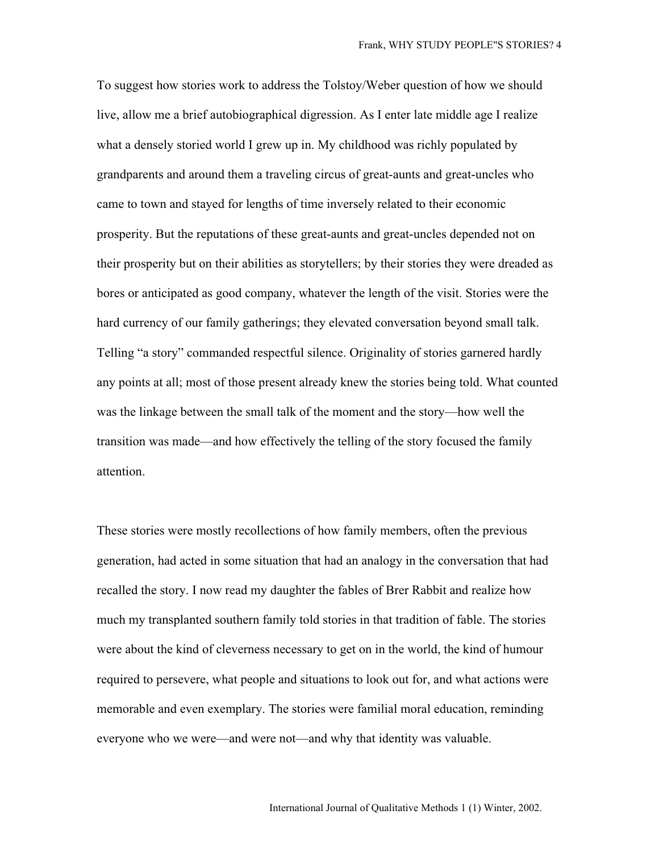To suggest how stories work to address the Tolstoy/Weber question of how we should live, allow me a brief autobiographical digression. As I enter late middle age I realize what a densely storied world I grew up in. My childhood was richly populated by grandparents and around them a traveling circus of great-aunts and great-uncles who came to town and stayed for lengths of time inversely related to their economic prosperity. But the reputations of these great-aunts and great-uncles depended not on their prosperity but on their abilities as storytellers; by their stories they were dreaded as bores or anticipated as good company, whatever the length of the visit. Stories were the hard currency of our family gatherings; they elevated conversation beyond small talk. Telling "a story" commanded respectful silence. Originality of stories garnered hardly any points at all; most of those present already knew the stories being told. What counted was the linkage between the small talk of the moment and the story—how well the transition was made—and how effectively the telling of the story focused the family attention.

These stories were mostly recollections of how family members, often the previous generation, had acted in some situation that had an analogy in the conversation that had recalled the story. I now read my daughter the fables of Brer Rabbit and realize how much my transplanted southern family told stories in that tradition of fable. The stories were about the kind of cleverness necessary to get on in the world, the kind of humour required to persevere, what people and situations to look out for, and what actions were memorable and even exemplary. The stories were familial moral education, reminding everyone who we were—and were not—and why that identity was valuable.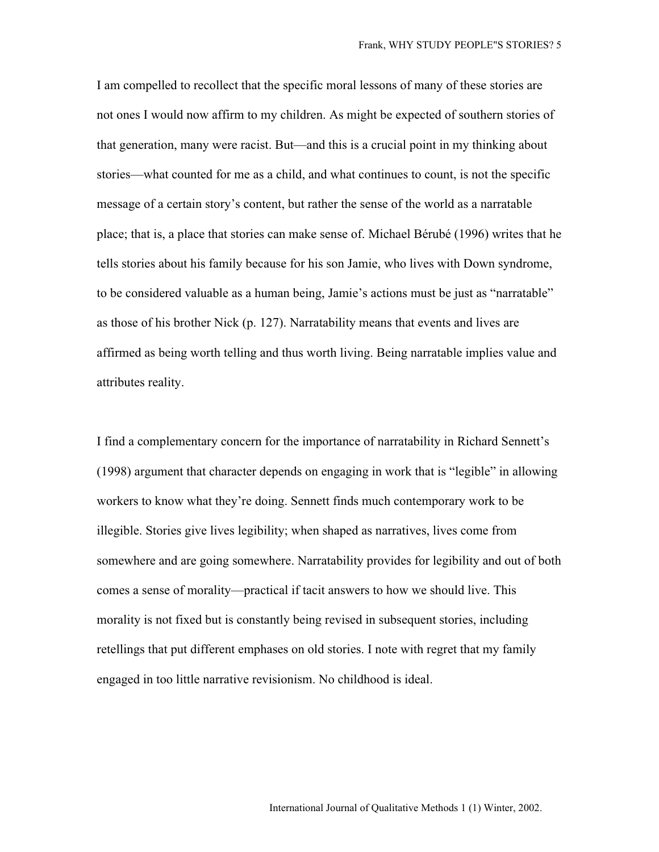I am compelled to recollect that the specific moral lessons of many of these stories are not ones I would now affirm to my children. As might be expected of southern stories of that generation, many were racist. But—and this is a crucial point in my thinking about stories—what counted for me as a child, and what continues to count, is not the specific message of a certain story's content, but rather the sense of the world as a narratable place; that is, a place that stories can make sense of. Michael Bérubé (1996) writes that he tells stories about his family because for his son Jamie, who lives with Down syndrome, to be considered valuable as a human being, Jamie's actions must be just as "narratable" as those of his brother Nick (p. 127). Narratability means that events and lives are affirmed as being worth telling and thus worth living. Being narratable implies value and attributes reality.

I find a complementary concern for the importance of narratability in Richard Sennett's (1998) argument that character depends on engaging in work that is "legible" in allowing workers to know what they're doing. Sennett finds much contemporary work to be illegible. Stories give lives legibility; when shaped as narratives, lives come from somewhere and are going somewhere. Narratability provides for legibility and out of both comes a sense of morality—practical if tacit answers to how we should live. This morality is not fixed but is constantly being revised in subsequent stories, including retellings that put different emphases on old stories. I note with regret that my family engaged in too little narrative revisionism. No childhood is ideal.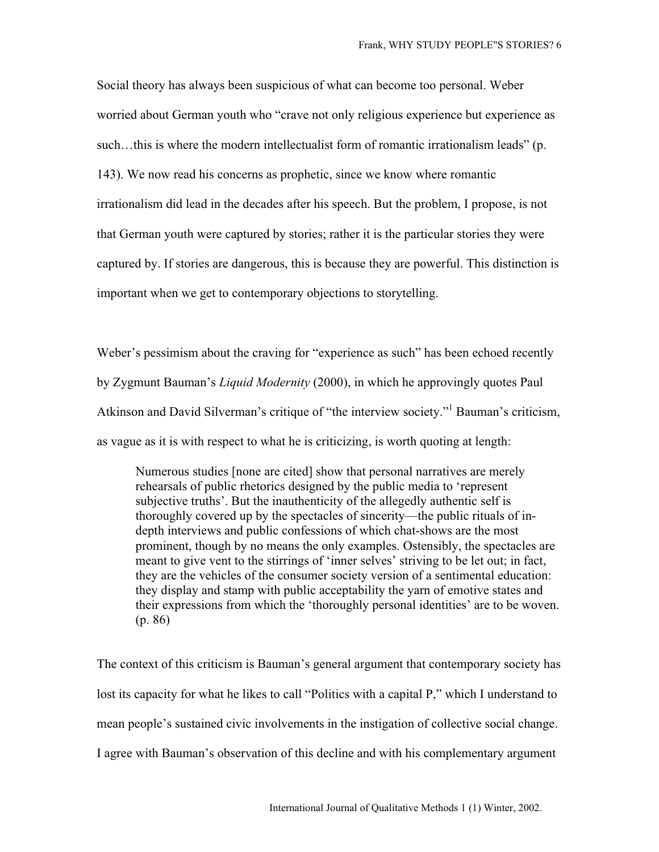Social theory has always been suspicious of what can become too personal. Weber worried about German youth who "crave not only religious experience but experience as such...this is where the modern intellectualist form of romantic irrationalism leads" (p. 143). We now read his concerns as prophetic, since we know where romantic irrationalism did lead in the decades after his speech. But the problem, I propose, is not that German youth were captured by stories; rather it is the particular stories they were captured by. If stories are dangerous, this is because they are powerful. This distinction is important when we get to contemporary objections to storytelling.

Weber's pessimism about the craving for "experience as such" has been echoed recently by Zygmunt Bauman's *Liquid Modernity* (2000), in which he approvingly quotes Paul Atkinson and David Silverman's critique of "the interview society." Bauman's criticism, as vague as it is with respect to what he is criticizing, is worth quoting at length:

Numerous studies [none are cited] show that personal narratives are merely rehearsals of public rhetorics designed by the public media to 'represent subjective truths'. But the inauthenticity of the allegedly authentic self is thoroughly covered up by the spectacles of sincerity—the public rituals of indepth interviews and public confessions of which chat-shows are the most prominent, though by no means the only examples. Ostensibly, the spectacles are meant to give vent to the stirrings of 'inner selves' striving to be let out; in fact, they are the vehicles of the consumer society version of a sentimental education: they display and stamp with public acceptability the yarn of emotive states and their expressions from which the 'thoroughly personal identities' are to be woven. (p. 86)

The context of this criticism is Bauman's general argument that contemporary society has lost its capacity for what he likes to call "Politics with a capital P," which I understand to mean people's sustained civic involvements in the instigation of collective social change. I agree with Bauman's observation of this decline and with his complementary argument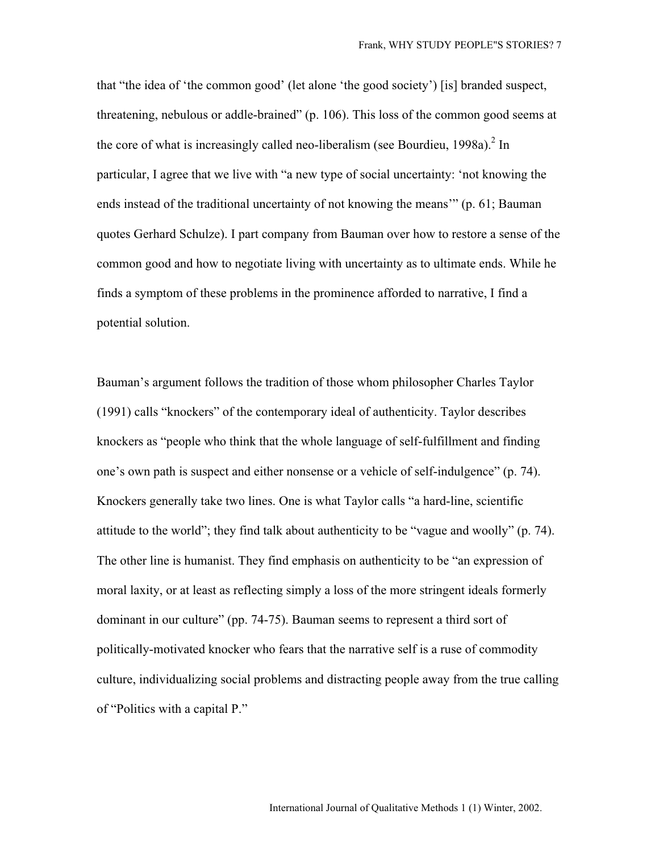that "the idea of 'the common good' (let alone 'the good society') [is] branded suspect, threatening, nebulous or addle-brained" (p. 106). This loss of the common good seems at the core of what is increasingly called neo-liberalism (see Bourdieu, 1998a).<sup>2</sup> In particular, I agree that we live with "a new type of social uncertainty: 'not knowing the ends instead of the traditional uncertainty of not knowing the means'" (p. 61; Bauman quotes Gerhard Schulze). I part company from Bauman over how to restore a sense of the common good and how to negotiate living with uncertainty as to ultimate ends. While he finds a symptom of these problems in the prominence afforded to narrative, I find a potential solution.

Bauman's argument follows the tradition of those whom philosopher Charles Taylor (1991) calls "knockers" of the contemporary ideal of authenticity. Taylor describes knockers as "people who think that the whole language of self-fulfillment and finding one's own path is suspect and either nonsense or a vehicle of self-indulgence" (p. 74). Knockers generally take two lines. One is what Taylor calls "a hard-line, scientific attitude to the world"; they find talk about authenticity to be "vague and woolly" (p. 74). The other line is humanist. They find emphasis on authenticity to be "an expression of moral laxity, or at least as reflecting simply a loss of the more stringent ideals formerly dominant in our culture" (pp. 74-75). Bauman seems to represent a third sort of politically-motivated knocker who fears that the narrative self is a ruse of commodity culture, individualizing social problems and distracting people away from the true calling of "Politics with a capital P."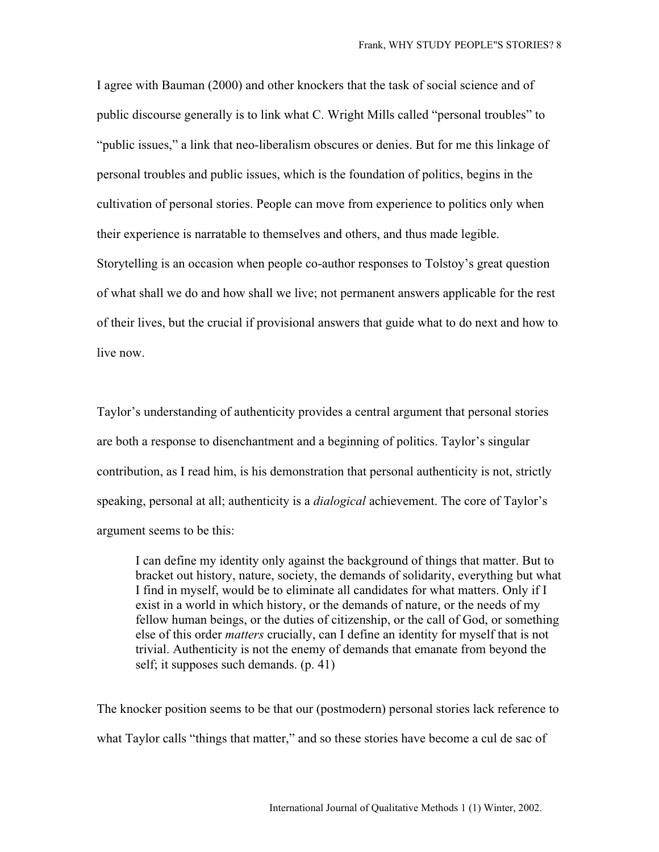I agree with Bauman (2000) and other knockers that the task of social science and of public discourse generally is to link what C. Wright Mills called "personal troubles" to "public issues," a link that neo-liberalism obscures or denies. But for me this linkage of personal troubles and public issues, which is the foundation of politics, begins in the cultivation of personal stories. People can move from experience to politics only when their experience is narratable to themselves and others, and thus made legible. Storytelling is an occasion when people co-author responses to Tolstoy's great question of what shall we do and how shall we live; not permanent answers applicable for the rest of their lives, but the crucial if provisional answers that guide what to do next and how to live now.

Taylor's understanding of authenticity provides a central argument that personal stories are both a response to disenchantment and a beginning of politics. Taylor's singular contribution, as I read him, is his demonstration that personal authenticity is not, strictly speaking, personal at all; authenticity is a *dialogical* achievement. The core of Taylor's argument seems to be this:

I can define my identity only against the background of things that matter. But to bracket out history, nature, society, the demands of solidarity, everything but what I find in myself, would be to eliminate all candidates for what matters. Only if I exist in a world in which history, or the demands of nature, or the needs of my fellow human beings, or the duties of citizenship, or the call of God, or something else of this order *matters* crucially, can I define an identity for myself that is not trivial. Authenticity is not the enemy of demands that emanate from beyond the self; it supposes such demands. (p. 41)

The knocker position seems to be that our (postmodern) personal stories lack reference to what Taylor calls "things that matter," and so these stories have become a cul de sac of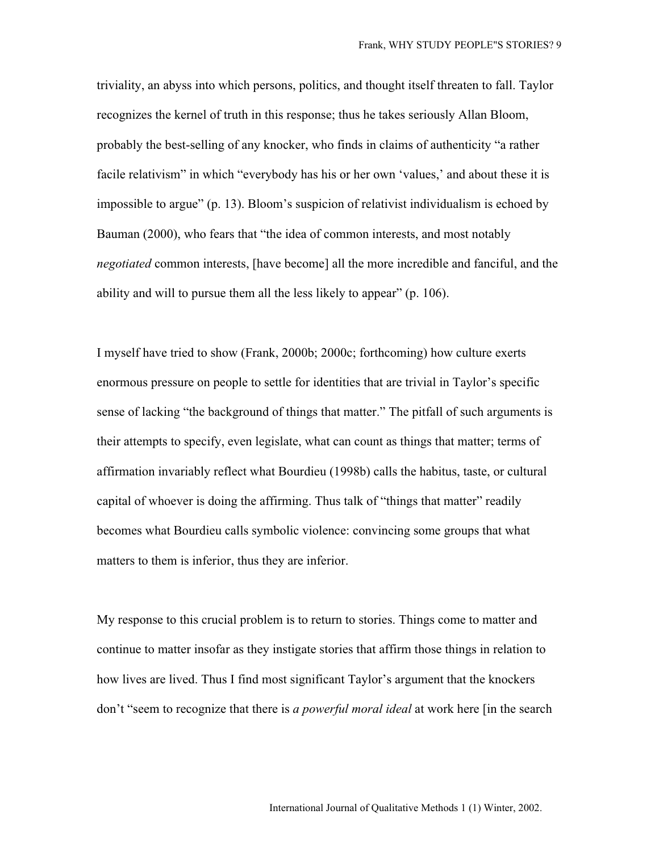triviality, an abyss into which persons, politics, and thought itself threaten to fall. Taylor recognizes the kernel of truth in this response; thus he takes seriously Allan Bloom, probably the best-selling of any knocker, who finds in claims of authenticity "a rather facile relativism" in which "everybody has his or her own 'values,' and about these it is impossible to argue" (p. 13). Bloom's suspicion of relativist individualism is echoed by Bauman (2000), who fears that "the idea of common interests, and most notably *negotiated* common interests, [have become] all the more incredible and fanciful, and the ability and will to pursue them all the less likely to appear" (p. 106).

I myself have tried to show (Frank, 2000b; 2000c; forthcoming) how culture exerts enormous pressure on people to settle for identities that are trivial in Taylor's specific sense of lacking "the background of things that matter." The pitfall of such arguments is their attempts to specify, even legislate, what can count as things that matter; terms of affirmation invariably reflect what Bourdieu (1998b) calls the habitus, taste, or cultural capital of whoever is doing the affirming. Thus talk of "things that matter" readily becomes what Bourdieu calls symbolic violence: convincing some groups that what matters to them is inferior, thus they are inferior.

My response to this crucial problem is to return to stories. Things come to matter and continue to matter insofar as they instigate stories that affirm those things in relation to how lives are lived. Thus I find most significant Taylor's argument that the knockers don't "seem to recognize that there is *a powerful moral ideal* at work here [in the search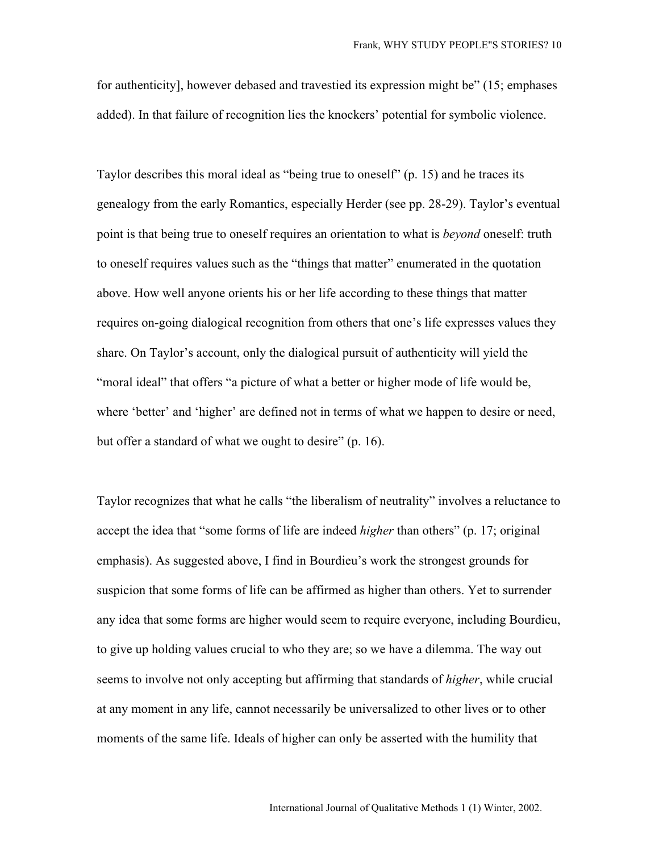for authenticity], however debased and travestied its expression might be" (15; emphases added). In that failure of recognition lies the knockers' potential for symbolic violence.

Taylor describes this moral ideal as "being true to oneself" (p. 15) and he traces its genealogy from the early Romantics, especially Herder (see pp. 28-29). Taylor's eventual point is that being true to oneself requires an orientation to what is *beyond* oneself: truth to oneself requires values such as the "things that matter" enumerated in the quotation above. How well anyone orients his or her life according to these things that matter requires on-going dialogical recognition from others that one's life expresses values they share. On Taylor's account, only the dialogical pursuit of authenticity will yield the "moral ideal" that offers "a picture of what a better or higher mode of life would be, where 'better' and 'higher' are defined not in terms of what we happen to desire or need, but offer a standard of what we ought to desire" (p. 16).

Taylor recognizes that what he calls "the liberalism of neutrality" involves a reluctance to accept the idea that "some forms of life are indeed *higher* than others" (p. 17; original emphasis). As suggested above, I find in Bourdieu's work the strongest grounds for suspicion that some forms of life can be affirmed as higher than others. Yet to surrender any idea that some forms are higher would seem to require everyone, including Bourdieu, to give up holding values crucial to who they are; so we have a dilemma. The way out seems to involve not only accepting but affirming that standards of *higher*, while crucial at any moment in any life, cannot necessarily be universalized to other lives or to other moments of the same life. Ideals of higher can only be asserted with the humility that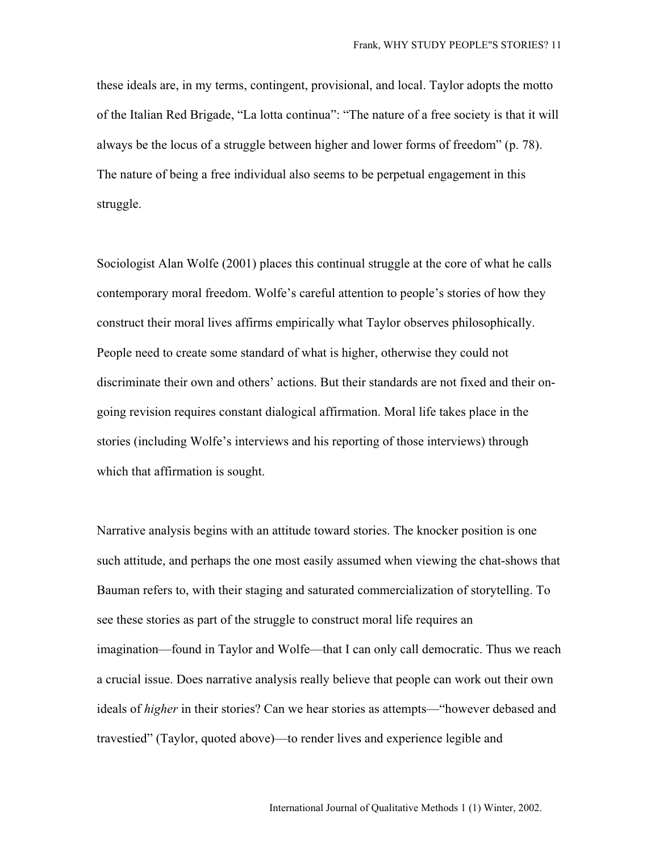these ideals are, in my terms, contingent, provisional, and local. Taylor adopts the motto of the Italian Red Brigade, "La lotta continua": "The nature of a free society is that it will always be the locus of a struggle between higher and lower forms of freedom" (p. 78). The nature of being a free individual also seems to be perpetual engagement in this struggle.

Sociologist Alan Wolfe (2001) places this continual struggle at the core of what he calls contemporary moral freedom. Wolfe's careful attention to people's stories of how they construct their moral lives affirms empirically what Taylor observes philosophically. People need to create some standard of what is higher, otherwise they could not discriminate their own and others' actions. But their standards are not fixed and their ongoing revision requires constant dialogical affirmation. Moral life takes place in the stories (including Wolfe's interviews and his reporting of those interviews) through which that affirmation is sought.

Narrative analysis begins with an attitude toward stories. The knocker position is one such attitude, and perhaps the one most easily assumed when viewing the chat-shows that Bauman refers to, with their staging and saturated commercialization of storytelling. To see these stories as part of the struggle to construct moral life requires an imagination—found in Taylor and Wolfe—that I can only call democratic. Thus we reach a crucial issue. Does narrative analysis really believe that people can work out their own ideals of *higher* in their stories? Can we hear stories as attempts—"however debased and travestied" (Taylor, quoted above)—to render lives and experience legible and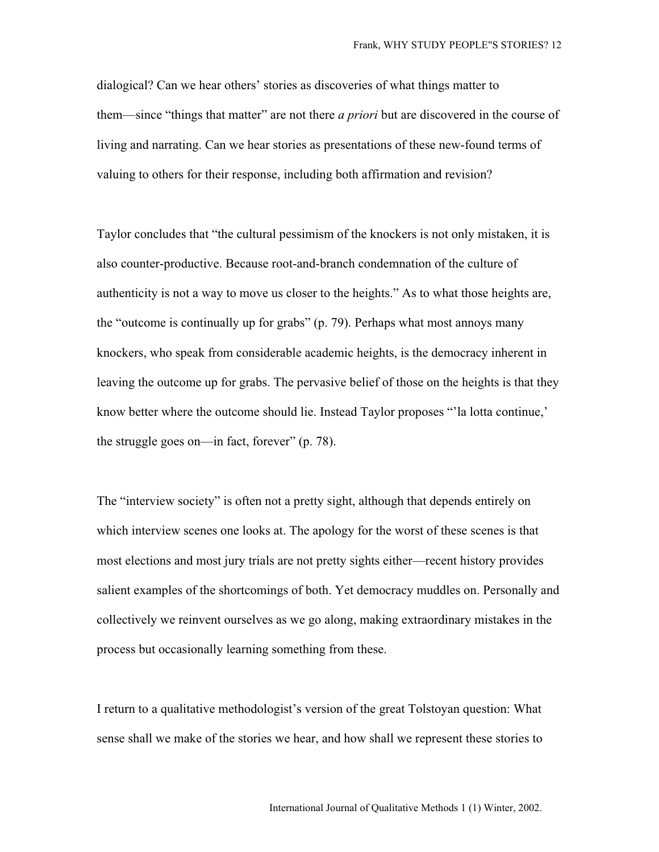dialogical? Can we hear others' stories as discoveries of what things matter to them—since "things that matter" are not there *a priori* but are discovered in the course of living and narrating. Can we hear stories as presentations of these new-found terms of valuing to others for their response, including both affirmation and revision?

Taylor concludes that "the cultural pessimism of the knockers is not only mistaken, it is also counter-productive. Because root-and-branch condemnation of the culture of authenticity is not a way to move us closer to the heights." As to what those heights are, the "outcome is continually up for grabs" (p. 79). Perhaps what most annoys many knockers, who speak from considerable academic heights, is the democracy inherent in leaving the outcome up for grabs. The pervasive belief of those on the heights is that they know better where the outcome should lie. Instead Taylor proposes "'la lotta continue,' the struggle goes on—in fact, forever" (p. 78).

The "interview society" is often not a pretty sight, although that depends entirely on which interview scenes one looks at. The apology for the worst of these scenes is that most elections and most jury trials are not pretty sights either—recent history provides salient examples of the shortcomings of both. Yet democracy muddles on. Personally and collectively we reinvent ourselves as we go along, making extraordinary mistakes in the process but occasionally learning something from these.

I return to a qualitative methodologist's version of the great Tolstoyan question: What sense shall we make of the stories we hear, and how shall we represent these stories to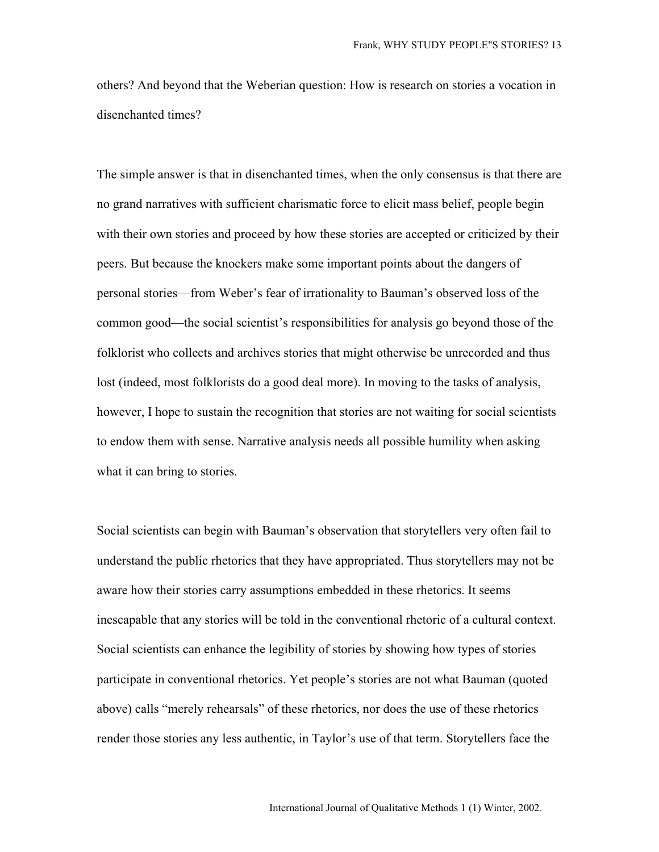others? And beyond that the Weberian question: How is research on stories a vocation in disenchanted times?

The simple answer is that in disenchanted times, when the only consensus is that there are no grand narratives with sufficient charismatic force to elicit mass belief, people begin with their own stories and proceed by how these stories are accepted or criticized by their peers. But because the knockers make some important points about the dangers of personal stories—from Weber's fear of irrationality to Bauman's observed loss of the common good—the social scientist's responsibilities for analysis go beyond those of the folklorist who collects and archives stories that might otherwise be unrecorded and thus lost (indeed, most folklorists do a good deal more). In moving to the tasks of analysis, however, I hope to sustain the recognition that stories are not waiting for social scientists to endow them with sense. Narrative analysis needs all possible humility when asking what it can bring to stories.

Social scientists can begin with Bauman's observation that storytellers very often fail to understand the public rhetorics that they have appropriated. Thus storytellers may not be aware how their stories carry assumptions embedded in these rhetorics. It seems inescapable that any stories will be told in the conventional rhetoric of a cultural context. Social scientists can enhance the legibility of stories by showing how types of stories participate in conventional rhetorics. Yet people's stories are not what Bauman (quoted above) calls "merely rehearsals" of these rhetorics, nor does the use of these rhetorics render those stories any less authentic, in Taylor's use of that term. Storytellers face the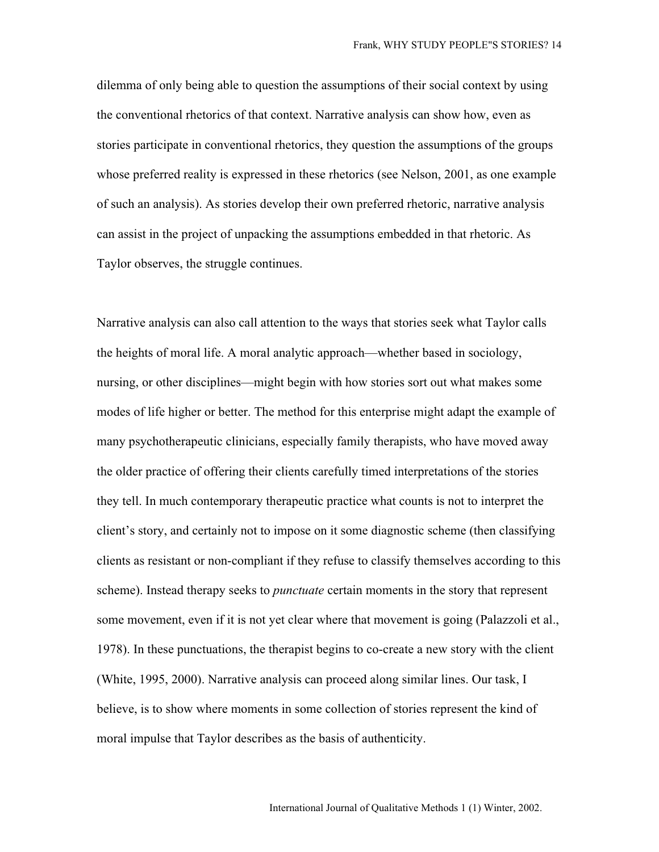dilemma of only being able to question the assumptions of their social context by using the conventional rhetorics of that context. Narrative analysis can show how, even as stories participate in conventional rhetorics, they question the assumptions of the groups whose preferred reality is expressed in these rhetorics (see Nelson, 2001, as one example of such an analysis). As stories develop their own preferred rhetoric, narrative analysis can assist in the project of unpacking the assumptions embedded in that rhetoric. As Taylor observes, the struggle continues.

Narrative analysis can also call attention to the ways that stories seek what Taylor calls the heights of moral life. A moral analytic approach—whether based in sociology, nursing, or other disciplines—might begin with how stories sort out what makes some modes of life higher or better. The method for this enterprise might adapt the example of many psychotherapeutic clinicians, especially family therapists, who have moved away the older practice of offering their clients carefully timed interpretations of the stories they tell. In much contemporary therapeutic practice what counts is not to interpret the client's story, and certainly not to impose on it some diagnostic scheme (then classifying clients as resistant or non-compliant if they refuse to classify themselves according to this scheme). Instead therapy seeks to *punctuate* certain moments in the story that represent some movement, even if it is not yet clear where that movement is going (Palazzoli et al., 1978). In these punctuations, the therapist begins to co-create a new story with the client (White, 1995, 2000). Narrative analysis can proceed along similar lines. Our task, I believe, is to show where moments in some collection of stories represent the kind of moral impulse that Taylor describes as the basis of authenticity.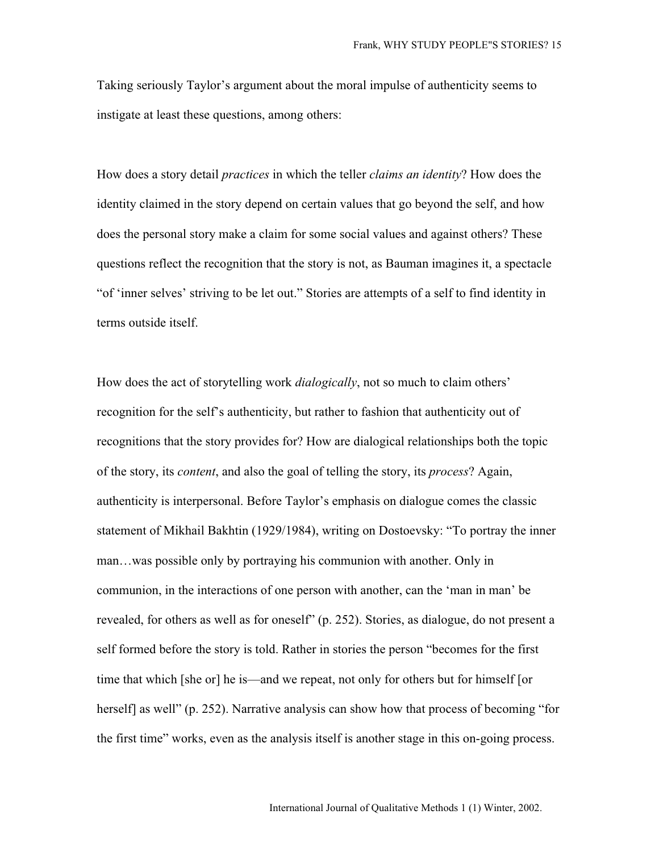Taking seriously Taylor's argument about the moral impulse of authenticity seems to instigate at least these questions, among others:

How does a story detail *practices* in which the teller *claims an identity*? How does the identity claimed in the story depend on certain values that go beyond the self, and how does the personal story make a claim for some social values and against others? These questions reflect the recognition that the story is not, as Bauman imagines it, a spectacle "of 'inner selves' striving to be let out." Stories are attempts of a self to find identity in terms outside itself.

How does the act of storytelling work *dialogically*, not so much to claim others' recognition for the self's authenticity, but rather to fashion that authenticity out of recognitions that the story provides for? How are dialogical relationships both the topic of the story, its *content*, and also the goal of telling the story, its *process*? Again, authenticity is interpersonal. Before Taylor's emphasis on dialogue comes the classic statement of Mikhail Bakhtin (1929/1984), writing on Dostoevsky: "To portray the inner man…was possible only by portraying his communion with another. Only in communion, in the interactions of one person with another, can the 'man in man' be revealed, for others as well as for oneself" (p. 252). Stories, as dialogue, do not present a self formed before the story is told. Rather in stories the person "becomes for the first time that which [she or] he is—and we repeat, not only for others but for himself [or herself] as well" (p. 252). Narrative analysis can show how that process of becoming "for the first time" works, even as the analysis itself is another stage in this on-going process.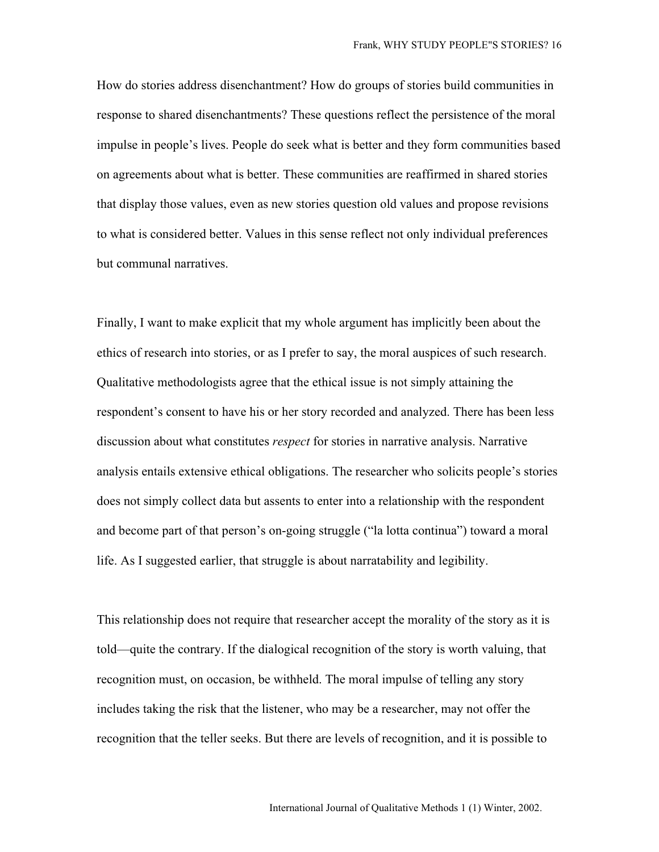How do stories address disenchantment? How do groups of stories build communities in response to shared disenchantments? These questions reflect the persistence of the moral impulse in people's lives. People do seek what is better and they form communities based on agreements about what is better. These communities are reaffirmed in shared stories that display those values, even as new stories question old values and propose revisions to what is considered better. Values in this sense reflect not only individual preferences but communal narratives.

Finally, I want to make explicit that my whole argument has implicitly been about the ethics of research into stories, or as I prefer to say, the moral auspices of such research. Qualitative methodologists agree that the ethical issue is not simply attaining the respondent's consent to have his or her story recorded and analyzed. There has been less discussion about what constitutes *respect* for stories in narrative analysis. Narrative analysis entails extensive ethical obligations. The researcher who solicits people's stories does not simply collect data but assents to enter into a relationship with the respondent and become part of that person's on-going struggle ("la lotta continua") toward a moral life. As I suggested earlier, that struggle is about narratability and legibility.

This relationship does not require that researcher accept the morality of the story as it is told—quite the contrary. If the dialogical recognition of the story is worth valuing, that recognition must, on occasion, be withheld. The moral impulse of telling any story includes taking the risk that the listener, who may be a researcher, may not offer the recognition that the teller seeks. But there are levels of recognition, and it is possible to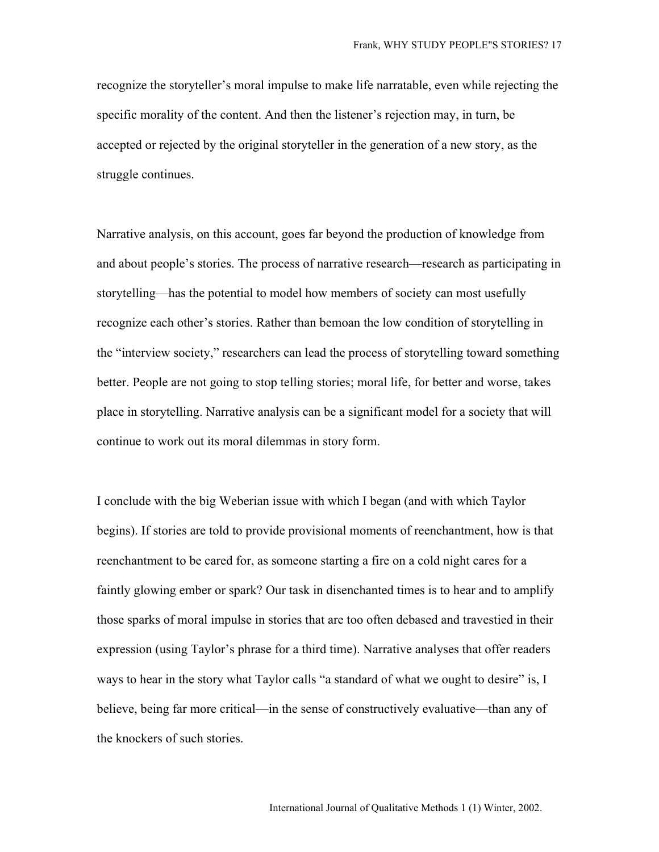recognize the storyteller's moral impulse to make life narratable, even while rejecting the specific morality of the content. And then the listener's rejection may, in turn, be accepted or rejected by the original storyteller in the generation of a new story, as the struggle continues.

Narrative analysis, on this account, goes far beyond the production of knowledge from and about people's stories. The process of narrative research—research as participating in storytelling—has the potential to model how members of society can most usefully recognize each other's stories. Rather than bemoan the low condition of storytelling in the "interview society," researchers can lead the process of storytelling toward something better. People are not going to stop telling stories; moral life, for better and worse, takes place in storytelling. Narrative analysis can be a significant model for a society that will continue to work out its moral dilemmas in story form.

I conclude with the big Weberian issue with which I began (and with which Taylor begins). If stories are told to provide provisional moments of reenchantment, how is that reenchantment to be cared for, as someone starting a fire on a cold night cares for a faintly glowing ember or spark? Our task in disenchanted times is to hear and to amplify those sparks of moral impulse in stories that are too often debased and travestied in their expression (using Taylor's phrase for a third time). Narrative analyses that offer readers ways to hear in the story what Taylor calls "a standard of what we ought to desire" is, I believe, being far more critical—in the sense of constructively evaluative—than any of the knockers of such stories.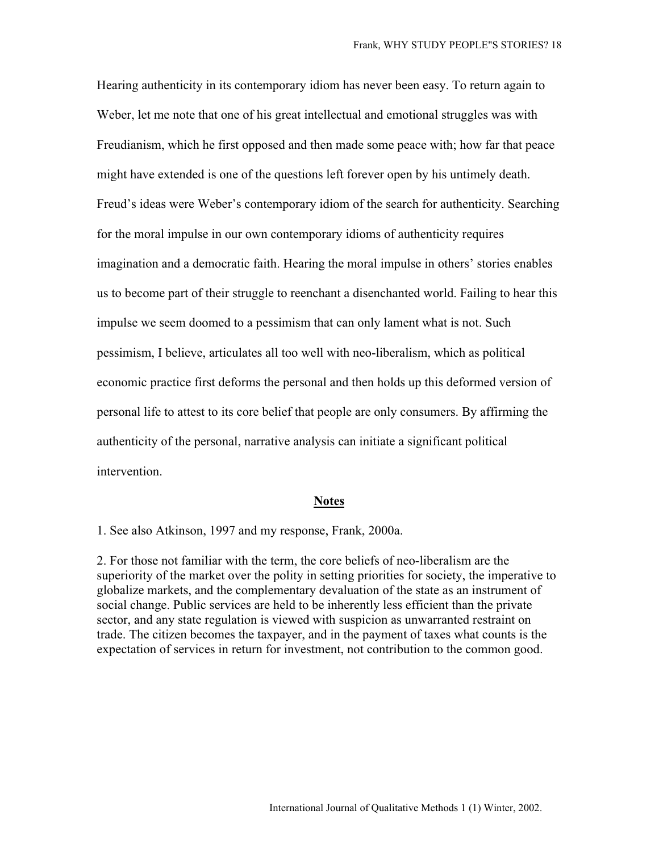Hearing authenticity in its contemporary idiom has never been easy. To return again to Weber, let me note that one of his great intellectual and emotional struggles was with Freudianism, which he first opposed and then made some peace with; how far that peace might have extended is one of the questions left forever open by his untimely death. Freud's ideas were Weber's contemporary idiom of the search for authenticity. Searching for the moral impulse in our own contemporary idioms of authenticity requires imagination and a democratic faith. Hearing the moral impulse in others' stories enables us to become part of their struggle to reenchant a disenchanted world. Failing to hear this impulse we seem doomed to a pessimism that can only lament what is not. Such pessimism, I believe, articulates all too well with neo-liberalism, which as political economic practice first deforms the personal and then holds up this deformed version of personal life to attest to its core belief that people are only consumers. By affirming the authenticity of the personal, narrative analysis can initiate a significant political intervention.

#### **Notes**

1. See also Atkinson, 1997 and my response, Frank, 2000a.

2. For those not familiar with the term, the core beliefs of neo-liberalism are the superiority of the market over the polity in setting priorities for society, the imperative to globalize markets, and the complementary devaluation of the state as an instrument of social change. Public services are held to be inherently less efficient than the private sector, and any state regulation is viewed with suspicion as unwarranted restraint on trade. The citizen becomes the taxpayer, and in the payment of taxes what counts is the expectation of services in return for investment, not contribution to the common good.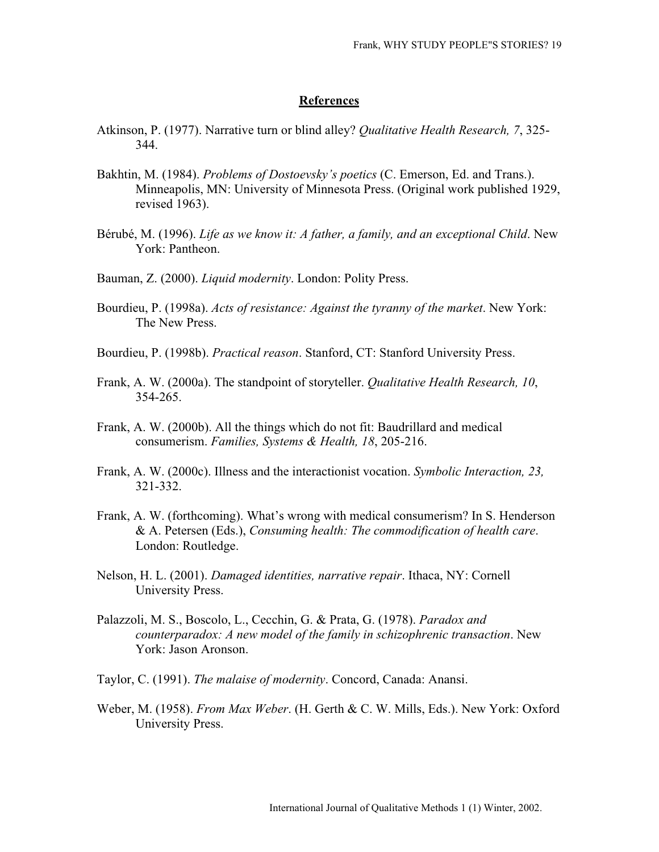#### **References**

- Atkinson, P. (1977). Narrative turn or blind alley? *Qualitative Health Research, 7*, 325- 344.
- Bakhtin, M. (1984). *Problems of Dostoevsky's poetics* (C. Emerson, Ed. and Trans.). Minneapolis, MN: University of Minnesota Press. (Original work published 1929, revised 1963).
- Bérubé, M. (1996). *Life as we know it: A father, a family, and an exceptional Child*. New York: Pantheon.
- Bauman, Z. (2000). *Liquid modernity*. London: Polity Press.
- Bourdieu, P. (1998a). *Acts of resistance: Against the tyranny of the market*. New York: The New Press.
- Bourdieu, P. (1998b). *Practical reason*. Stanford, CT: Stanford University Press.
- Frank, A. W. (2000a). The standpoint of storyteller. *Qualitative Health Research, 10*, 354-265.
- Frank, A. W. (2000b). All the things which do not fit: Baudrillard and medical consumerism. *Families, Systems & Health, 18*, 205-216.
- Frank, A. W. (2000c). Illness and the interactionist vocation. *Symbolic Interaction, 23,* 321-332.
- Frank, A. W. (forthcoming). What's wrong with medical consumerism? In S. Henderson & A. Petersen (Eds.), *Consuming health: The commodification of health care*. London: Routledge.
- Nelson, H. L. (2001). *Damaged identities, narrative repair*. Ithaca, NY: Cornell University Press.
- Palazzoli, M. S., Boscolo, L., Cecchin, G. & Prata, G. (1978). *Paradox and counterparadox: A new model of the family in schizophrenic transaction*. New York: Jason Aronson.
- Taylor, C. (1991). *The malaise of modernity*. Concord, Canada: Anansi.
- Weber, M. (1958). *From Max Weber*. (H. Gerth & C. W. Mills, Eds.). New York: Oxford University Press.